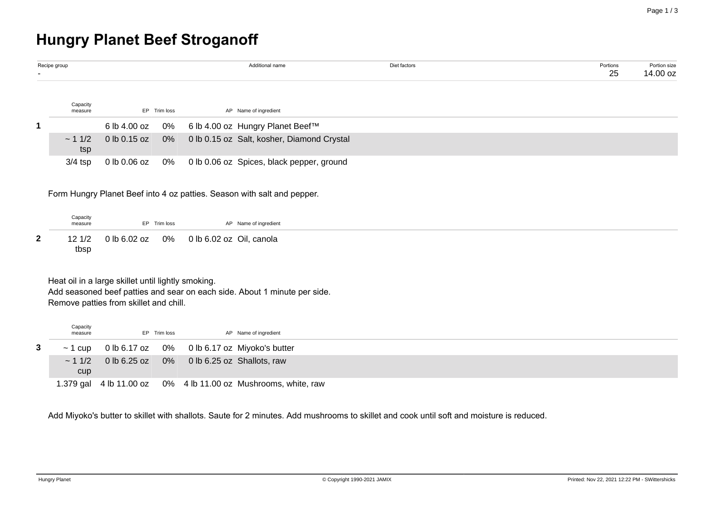# **Hungry Planet Beef Stroganoff**

| ۰. | Recipe group        |                   |              | Additional name                            | Diet factors | Portions<br>25 | Portion size<br>14.00 oz |
|----|---------------------|-------------------|--------------|--------------------------------------------|--------------|----------------|--------------------------|
|    | Capacity<br>measure |                   | EP Trim loss | AP Name of ingredient                      |              |                |                          |
| 1. |                     | 6 lb 4.00 oz      | 0%           | 6 lb 4.00 oz Hungry Planet Beef™           |              |                |                          |
|    | ~11/2<br>tsp        | $0$ lb 0.15 oz 0% |              | 0 lb 0.15 oz Salt, kosher, Diamond Crystal |              |                |                          |
|    | $3/4$ tsp           | 0 lb 0.06 oz      | 0%           | 0 lb 0.06 oz Spices, black pepper, ground  |              |                |                          |

Form Hungry Planet Beef into 4 oz patties. Season with salt and pepper.

| Capacity<br>measure | EP Trim loss | AP Name of ingredient                           |
|---------------------|--------------|-------------------------------------------------|
|                     |              | 12 1/2 0 lb 6.02 oz 0% 0 lb 6.02 oz Oil, canola |
| tbsp                |              |                                                 |

Heat oil in a large skillet until lightly smoking.

Add seasoned beef patties and sear on each side. About 1 minute per side. Remove patties from skillet and chill.

| Capacity<br>measure |                                                         | EP Trim loss | AP Name of ingredient                                          |
|---------------------|---------------------------------------------------------|--------------|----------------------------------------------------------------|
|                     |                                                         |              | $\sim$ 1 cup 0 lb 6.17 oz 0% 0 lb 6.17 oz Miyoko's butter      |
|                     | $\sim$ 1 1/2 0 lb 6.25 oz 0% 0 lb 6.25 oz Shallots, raw |              |                                                                |
| <b>CUD</b>          |                                                         |              |                                                                |
|                     |                                                         |              | 1.379 gal 4 lb 11.00 oz 0% 4 lb 11.00 oz Mushrooms, white, raw |

Add Miyoko's butter to skillet with shallots. Saute for 2 minutes. Add mushrooms to skillet and cook until soft and moisture is reduced.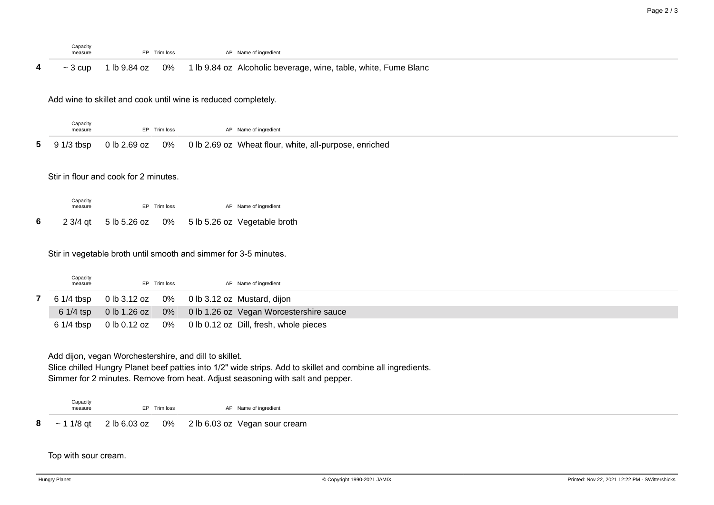|   | Capacity<br>measure | Trim loss        | Name of ingredient                                                                              |  |  |
|---|---------------------|------------------|-------------------------------------------------------------------------------------------------|--|--|
| 4 | 3 cup               | 0%<br>lb 9.84 oz | Alcoholic beverage, wine, table, white, Fume Blanc<br>$1 \, \text{lb} \, 9.84 \, \text{oz}$ , . |  |  |

Add wine to skillet and cook until wine is reduced completely.

| Capacity<br>measure | EP Trim loss | AP Name of ingredient                                                               |
|---------------------|--------------|-------------------------------------------------------------------------------------|
|                     |              | 5 9 1/3 tbsp 0 lb 2.69 oz 0% 0 lb 2.69 oz Wheat flour, white, all-purpose, enriched |

## Stir in flour and cook for 2 minutes.

| Capacity<br>measure | EP Trim loss | AP Name of ingredient                                   |  |
|---------------------|--------------|---------------------------------------------------------|--|
|                     |              | 6 2 3/4 qt 5 lb 5.26 oz 0% 5 lb 5.26 oz Vegetable broth |  |

### Stir in vegetable broth until smooth and simmer for 3-5 minutes.

| Capacity<br>measure | EP Trim loss | AP Name of ingredient                                   |
|---------------------|--------------|---------------------------------------------------------|
| 6 1/4 tbsp          |              | 0 lb 3.12 oz 0% 0 lb 3.12 oz Mustard, dijon             |
| $61/4$ tsp          |              | 0 lb 1.26 oz 0% 0 lb 1.26 oz Vegan Worcestershire sauce |
| $61/4$ tbsp         |              | 0 lb 0.12 oz 0% 0 lb 0.12 oz Dill, fresh, whole pieces  |

#### Add dijon, vegan Worchestershire, and dill to skillet.

Slice chilled Hungry Planet beef patties into 1/2" wide strips. Add to skillet and combine all ingredients. Simmer for 2 minutes. Remove from heat. Adjust seasoning with salt and pepper.

Capacity<br>measure EP Trim loss AP Name of ingredient

**8** ~ 1 1/8 qt 2 lb 6.03 oz 0% 2 lb 6.03 oz Vegan sour cream

Top with sour cream.